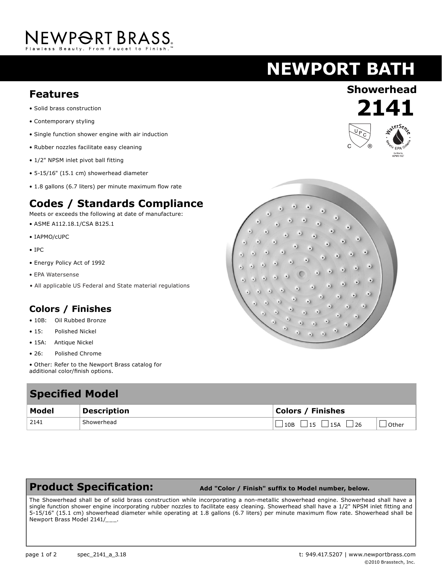# NEWPORT BRASS.

# **NEWPORT BATH**

## **Showerhead Features**

- Solid brass construction
- Contemporary styling
- Single function shower engine with air induction
- Rubber nozzles facilitate easy cleaning
- 1/2" NPSM inlet pivot ball fitting
- 5-15/16" (15.1 cm) showerhead diameter
- 1.8 gallons (6.7 liters) per minute maximum flow rate

### **Codes / Standards Compliance**

Meets or exceeds the following at date of manufacture:

- ASME A112.18.1/CSA B125.1
- IAPMO/cUPC
- IPC
- Energy Policy Act of 1992
- EPA Watersense
- All applicable US Federal and State material regulations

#### **Colors / Finishes**

- 10B: Oil Rubbed Bronze
- 15: Polished Nickel
- 15A: Antique Nickel
- 26: Polished Chrome
- Other: Refer to the Newport Brass catalog for additional color/finish options.

## **Specified Model**

| Model | <b>Description</b> | <b>Colors / Finishes</b> |       |
|-------|--------------------|--------------------------|-------|
| 2141  | Showerhead         | 10B<br>15A<br>15.<br>26  | Other |

### **Product Specification:**

 **Add "Color / Finish" suffix to Model number, below.**

The Showerhead shall be of solid brass construction while incorporating a non-metallic showerhead engine. Showerhead shall have a single function shower engine incorporating rubber nozzles to facilitate easy cleaning. Showerhead shall have a 1/2" NPSM inlet fitting and 5-15/16" (15.1 cm) showerhead diameter while operating at 1.8 gallons (6.7 liters) per minute maximum flow rate. Showerhead shall be Newport Brass Model 2141/\_\_\_.